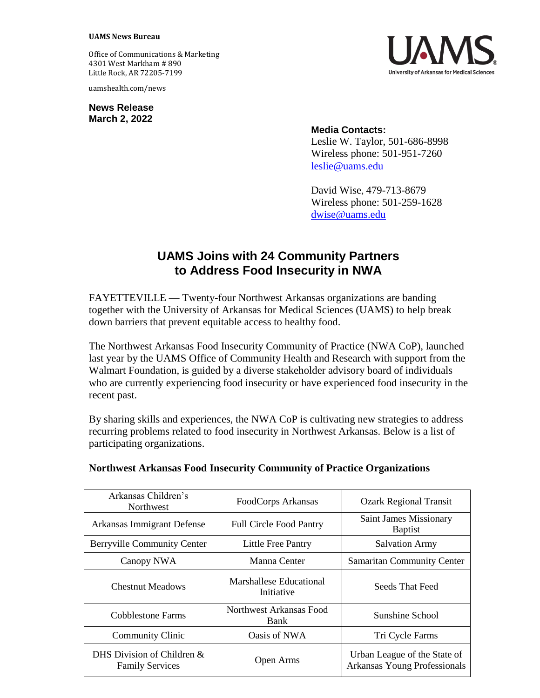## **UAMS News Bureau**

Office of Communications & Marketing 4301 West Markham # 890 Little Rock, AR 72205-7199

uamshealth.com/news

**News Release March 2, 2022**



## **Media Contacts:**

Leslie W. Taylor, 501-686-8998 Wireless phone: 501-951-7260 [leslie@uams.edu](mailto:leslie@uams.edu)

David Wise, 479-713-8679 Wireless phone: 501-259-1628 [dwise@uams.edu](mailto:dwise@uams.edu)

## **UAMS Joins with 24 Community Partners to Address Food Insecurity in NWA**

FAYETTEVILLE — Twenty-four Northwest Arkansas organizations are banding together with the University of Arkansas for Medical Sciences (UAMS) to help break down barriers that prevent equitable access to healthy food.

The Northwest Arkansas Food Insecurity Community of Practice (NWA CoP), launched last year by the UAMS Office of Community Health and Research with support from the Walmart Foundation, is guided by a diverse stakeholder advisory board of individuals who are currently experiencing food insecurity or have experienced food insecurity in the recent past.

By sharing skills and experiences, the NWA CoP is cultivating new strategies to address recurring problems related to food insecurity in Northwest Arkansas. Below is a list of participating organizations.

| Arkansas Children's<br><b>Northwest</b>                 | FoodCorps Arkansas                           | <b>Ozark Regional Transit</b>                                |
|---------------------------------------------------------|----------------------------------------------|--------------------------------------------------------------|
| Arkansas Immigrant Defense                              | <b>Full Circle Food Pantry</b>               | <b>Saint James Missionary</b><br><b>Baptist</b>              |
| <b>Berryville Community Center</b>                      | <b>Little Free Pantry</b>                    | <b>Salvation Army</b>                                        |
| Canopy NWA                                              | Manna Center                                 | <b>Samaritan Community Center</b>                            |
| <b>Chestnut Meadows</b>                                 | <b>Marshallese Educational</b><br>Initiative | Seeds That Feed                                              |
| Cobblestone Farms                                       | Northwest Arkansas Food<br><b>Bank</b>       | Sunshine School                                              |
| <b>Community Clinic</b>                                 | Oasis of NWA                                 | Tri Cycle Farms                                              |
| DHS Division of Children $\&$<br><b>Family Services</b> | Open Arms                                    | Urban League of the State of<br>Arkansas Young Professionals |

## **Northwest Arkansas Food Insecurity Community of Practice Organizations**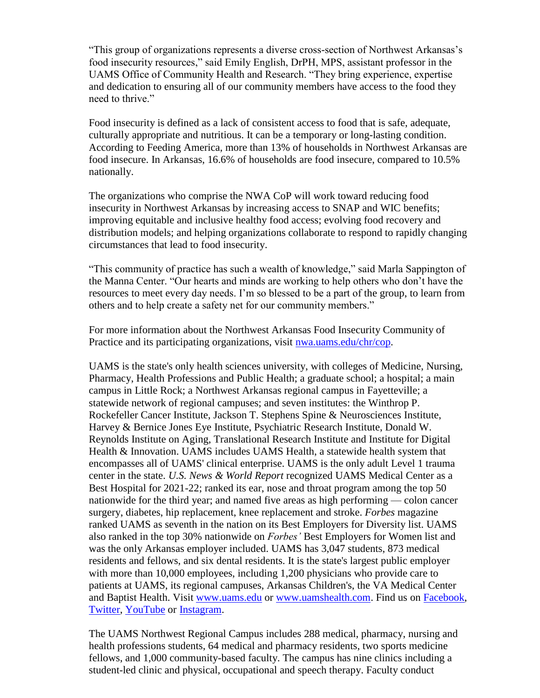"This group of organizations represents a diverse cross-section of Northwest Arkansas's food insecurity resources," said Emily English, DrPH, MPS, assistant professor in the UAMS Office of Community Health and Research. "They bring experience, expertise and dedication to ensuring all of our community members have access to the food they need to thrive."

Food insecurity is defined as a lack of consistent access to food that is safe, adequate, culturally appropriate and nutritious. It can be a temporary or long-lasting condition. According to Feeding America, more than 13% of households in Northwest Arkansas are food insecure. In Arkansas, 16.6% of households are food insecure, compared to 10.5% nationally.

The organizations who comprise the NWA CoP will work toward reducing food insecurity in Northwest Arkansas by increasing access to SNAP and WIC benefits; improving equitable and inclusive healthy food access; evolving food recovery and distribution models; and helping organizations collaborate to respond to rapidly changing circumstances that lead to food insecurity.

"This community of practice has such a wealth of knowledge," said Marla Sappington of the Manna Center. "Our hearts and minds are working to help others who don't have the resources to meet every day needs. I'm so blessed to be a part of the group, to learn from others and to help create a safety net for our community members."

For more information about the Northwest Arkansas Food Insecurity Community of Practice and its participating organizations, visit [nwa.uams.edu/chr/cop.](file:///C:/AppData/Local/Microsoft/Windows/INetCache/Content.Outlook/VGTKCL8R/nwa.uams.edu/chr/cop)

UAMS is the state's only health sciences university, with colleges of Medicine, Nursing, Pharmacy, Health Professions and Public Health; a graduate school; a hospital; a main campus in Little Rock; a Northwest Arkansas regional campus in Fayetteville; a statewide network of regional campuses; and seven institutes: the Winthrop P. Rockefeller Cancer Institute, Jackson T. Stephens Spine & Neurosciences Institute, Harvey & Bernice Jones Eye Institute, Psychiatric Research Institute, Donald W. Reynolds Institute on Aging, Translational Research Institute and Institute for Digital Health & Innovation. UAMS includes UAMS Health, a statewide health system that encompasses all of UAMS' clinical enterprise. UAMS is the only adult Level 1 trauma center in the state. *U.S. News & World Report* recognized UAMS Medical Center as a Best Hospital for 2021-22; ranked its ear, nose and throat program among the top 50 nationwide for the third year; and named five areas as high performing — colon cancer surgery, diabetes, hip replacement, knee replacement and stroke. *Forbes* magazine ranked UAMS as seventh in the nation on its Best Employers for Diversity list. UAMS also ranked in the top 30% nationwide on *Forbes'* Best Employers for Women list and was the only Arkansas employer included. UAMS has 3,047 students, 873 medical residents and fellows, and six dental residents. It is the state's largest public employer with more than 10,000 employees, including 1,200 physicians who provide care to patients at UAMS, its regional campuses, Arkansas Children's, the VA Medical Center and Baptist Health. Visit [www.uams.edu](http://www.uams.edu/) or [www.uamshealth.com.](http://www.uamshealth.com/) Find us on [Facebook,](https://www.facebook.com/UAMShealth) [Twitter,](https://twitter.com/uamshealth) [YouTube](https://www.youtube.com/user/UAMSHealth) or [Instagram.](https://instagram.com/uamshealth/)

The UAMS Northwest Regional Campus includes 288 medical, pharmacy, nursing and health professions students, 64 medical and pharmacy residents, two sports medicine fellows, and 1,000 community-based faculty. The campus has nine clinics including a student-led clinic and physical, occupational and speech therapy. Faculty conduct